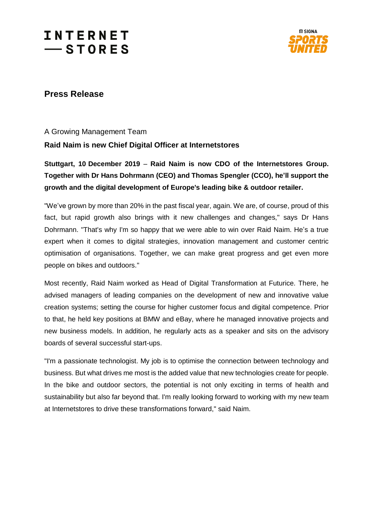# **INTERNET**  $-$ STORES



### **Press Release**

A Growing Management Team

### **Raid Naim is new Chief Digital Officer at Internetstores**

**Stuttgart, 10 December 2019** – **Raid Naim is now CDO of the Internetstores Group. Together with Dr Hans Dohrmann (CEO) and Thomas Spengler (CCO), he'll support the growth and the digital development of Europe's leading bike & outdoor retailer.**

"We've grown by more than 20% in the past fiscal year, again. We are, of course, proud of this fact, but rapid growth also brings with it new challenges and changes," says Dr Hans Dohrmann. "That's why I'm so happy that we were able to win over Raid Naim. He's a true expert when it comes to digital strategies, innovation management and customer centric optimisation of organisations. Together, we can make great progress and get even more people on bikes and outdoors."

Most recently, Raid Naim worked as Head of Digital Transformation at Futurice. There, he advised managers of leading companies on the development of new and innovative value creation systems; setting the course for higher customer focus and digital competence. Prior to that, he held key positions at BMW and eBay, where he managed innovative projects and new business models. In addition, he regularly acts as a speaker and sits on the advisory boards of several successful start-ups.

"I'm a passionate technologist. My job is to optimise the connection between technology and business. But what drives me most is the added value that new technologies create for people. In the bike and outdoor sectors, the potential is not only exciting in terms of health and sustainability but also far beyond that. I'm really looking forward to working with my new team at Internetstores to drive these transformations forward," said Naim.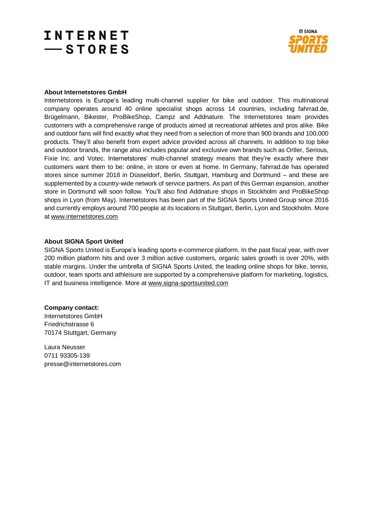### **INTERNET**  $-$ STORES



#### **About Internetstores GmbH**

Internetstores is Europe's leading multi-channel supplier for bike and outdoor. This multinational company operates around 40 online specialist shops across 14 countries, including fahrrad.de, Brügelmann, Bikester, ProBikeShop, Campz and Addnature. The Internetstores team provides customers with a comprehensive range of products aimed at recreational athletes and pros alike. Bike and outdoor fans will find exactly what they need from a selection of more than 900 brands and 100,000 products. They'll also benefit from expert advice provided across all channels. In addition to top bike and outdoor brands, the range also includes popular and exclusive own brands such as Ortler, Serious, Fixie Inc. and Votec. Internetstores' multi-channel strategy means that they're exactly where their customers want them to be: online, in store or even at home. In Germany, fahrrad.de has operated stores since summer 2018 in Düsseldorf, Berlin, Stuttgart, Hamburg and Dortmund – and these are supplemented by a country-wide network of service partners. As part of this German expansion, another store in Dortmund will soon follow. You'll also find Addnature shops in Stockholm and ProBikeShop shops in Lyon (from May). Internetstores has been part of the SIGNA Sports United Group since 2016 and currently employs around 700 people at its locations in Stuttgart, Berlin, Lyon and Stockholm. More at [www.internetstores.com](https://www.internetstores.com/en/)

#### **About SIGNA Sport United**

SIGNA Sports United is Europe's leading sports e-commerce platform. In the past fiscal year, with over 200 million platform hits and over 3 million active customers, organic sales growth is over 20%, with stable margins. Under the umbrella of SIGNA Sports United, the leading online shops for bike, tennis, outdoor, team sports and athleisure are supported by a comprehensive platform for marketing, logistics, IT and business intelligence. More at [www.signa-sportsunited.com](https://www.signa-sportsunited.com/)

#### **Company contact:**

Internetstores GmbH Friedrichstrasse 6 70174 Stuttgart, Germany

Laura Neusser 0711 93305-139 presse@internetstores.com